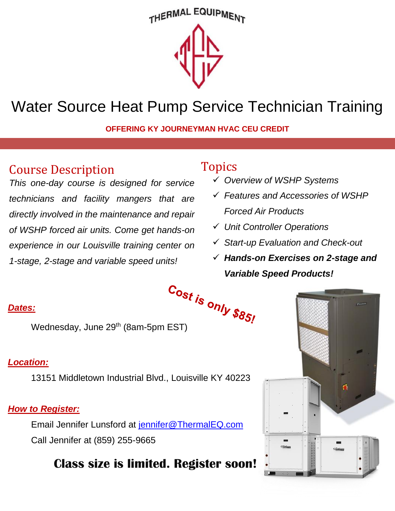## THERMAL EQUIPMENT



# Water Source Heat Pump Service Technician Training

**OFFERING KY JOURNEYMAN HVAC CEU CREDIT**

## Course Description

*This one-day course is designed for service technicians and facility mangers that are directly involved in the maintenance and repair of WSHP forced air units. Come get hands-on experience in our Louisville training center on 1-stage, 2-stage and variable speed units!*

## Topics

- *Overview of WSHP Systems*
- *Features and Accessories of WSHP Forced Air Products*
- *Unit Controller Operations*
- *Start-up Evaluation and Check-out*
- *Hands-on Exercises on 2-stage and Variable Speed Products!*

#### *Dates:*

 $\frac{\text{S}}{\text{S}}$ <br>Wednesday, June 29<sup>th</sup> (8am-5pm EST)

#### *Location:*

13151 Middletown Industrial Blvd., Louisville KY 40223

### *How to Register:*

Email Jennifer Lunsford at [jennifer@ThermalEQ.com](mailto:jennifer@ThermalEQ.com) Call Jennifer at (859) 255-9665

## **Class size is limited. Register soon!**